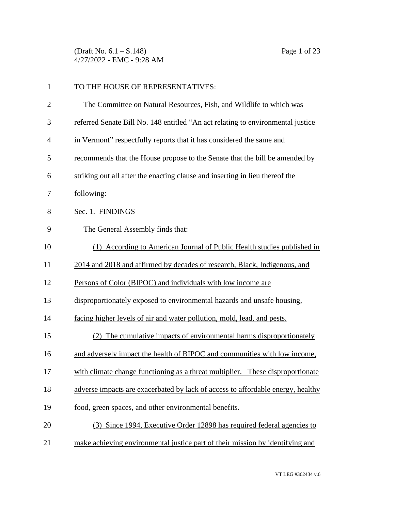(Draft No. 6.1 – S.148) Page 1 of 23 4/27/2022 - EMC - 9:28 AM

| $\mathbf{1}$   | TO THE HOUSE OF REPRESENTATIVES:                                                |
|----------------|---------------------------------------------------------------------------------|
| $\mathbf{2}$   | The Committee on Natural Resources, Fish, and Wildlife to which was             |
| 3              | referred Senate Bill No. 148 entitled "An act relating to environmental justice |
| $\overline{4}$ | in Vermont" respectfully reports that it has considered the same and            |
| 5              | recommends that the House propose to the Senate that the bill be amended by     |
| 6              | striking out all after the enacting clause and inserting in lieu thereof the    |
| 7              | following:                                                                      |
| 8              | Sec. 1. FINDINGS                                                                |
| 9              | The General Assembly finds that:                                                |
| 10             | (1) According to American Journal of Public Health studies published in         |
| 11             | 2014 and 2018 and affirmed by decades of research, Black, Indigenous, and       |
| 12             | Persons of Color (BIPOC) and individuals with low income are                    |
| 13             | disproportionately exposed to environmental hazards and unsafe housing,         |
| 14             | facing higher levels of air and water pollution, mold, lead, and pests.         |
| 15             | (2) The cumulative impacts of environmental harms disproportionately            |
| 16             | and adversely impact the health of BIPOC and communities with low income,       |
| 17             | with climate change functioning as a threat multiplier. These disproportionate  |
| 18             | adverse impacts are exacerbated by lack of access to affordable energy, healthy |
| 19             | food, green spaces, and other environmental benefits.                           |
| 20             | (3) Since 1994, Executive Order 12898 has required federal agencies to          |
| 21             | make achieving environmental justice part of their mission by identifying and   |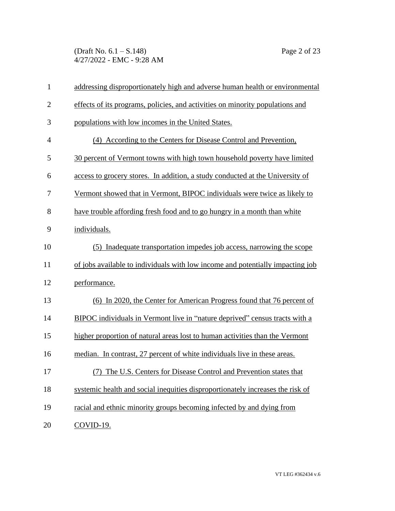(Draft No. 6.1 – S.148) Page 2 of 23 4/27/2022 - EMC - 9:28 AM

| $\mathbf{1}$   | addressing disproportionately high and adverse human health or environmental   |
|----------------|--------------------------------------------------------------------------------|
| $\overline{2}$ | effects of its programs, policies, and activities on minority populations and  |
| 3              | populations with low incomes in the United States.                             |
| $\overline{4}$ | (4) According to the Centers for Disease Control and Prevention,               |
| 5              | 30 percent of Vermont towns with high town household poverty have limited      |
| 6              | access to grocery stores. In addition, a study conducted at the University of  |
| 7              | Vermont showed that in Vermont, BIPOC individuals were twice as likely to      |
| 8              | have trouble affording fresh food and to go hungry in a month than white       |
| 9              | individuals.                                                                   |
| 10             | Inadequate transportation impedes job access, narrowing the scope<br>(5)       |
| 11             | of jobs available to individuals with low income and potentially impacting job |
| 12             | performance.                                                                   |
| 13             | (6) In 2020, the Center for American Progress found that 76 percent of         |
| 14             | BIPOC individuals in Vermont live in "nature deprived" census tracts with a    |
| 15             | higher proportion of natural areas lost to human activities than the Vermont   |
| 16             | median. In contrast, 27 percent of white individuals live in these areas.      |
| 17             | (7) The U.S. Centers for Disease Control and Prevention states that            |
| 18             | systemic health and social inequities disproportionately increases the risk of |
| 19             | racial and ethnic minority groups becoming infected by and dying from          |
| 20             | COVID-19.                                                                      |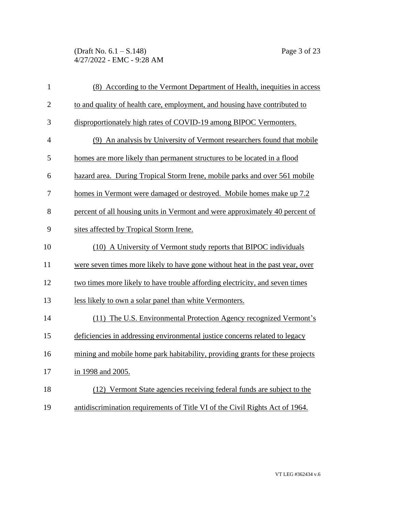(Draft No. 6.1 – S.148) Page 3 of 23 4/27/2022 - EMC - 9:28 AM

| $\mathbf{1}$   | (8) According to the Vermont Department of Health, inequities in access       |
|----------------|-------------------------------------------------------------------------------|
| $\mathbf{2}$   | to and quality of health care, employment, and housing have contributed to    |
| 3              | disproportionately high rates of COVID-19 among BIPOC Vermonters.             |
| $\overline{4}$ | (9) An analysis by University of Vermont researchers found that mobile        |
| 5              | homes are more likely than permanent structures to be located in a flood      |
| 6              | hazard area. During Tropical Storm Irene, mobile parks and over 561 mobile    |
| 7              | homes in Vermont were damaged or destroyed. Mobile homes make up 7.2          |
| 8              | percent of all housing units in Vermont and were approximately 40 percent of  |
| 9              | sites affected by Tropical Storm Irene.                                       |
| 10             | (10) A University of Vermont study reports that BIPOC individuals             |
| 11             | were seven times more likely to have gone without heat in the past year, over |
| 12             | two times more likely to have trouble affording electricity, and seven times  |
| 13             | less likely to own a solar panel than white Vermonters.                       |
| 14             | (11) The U.S. Environmental Protection Agency recognized Vermont's            |
| 15             | deficiencies in addressing environmental justice concerns related to legacy   |
| 16             | mining and mobile home park habitability, providing grants for these projects |
| 17             | in 1998 and 2005.                                                             |
| 18             | (12) Vermont State agencies receiving federal funds are subject to the        |
| 19             | antidiscrimination requirements of Title VI of the Civil Rights Act of 1964.  |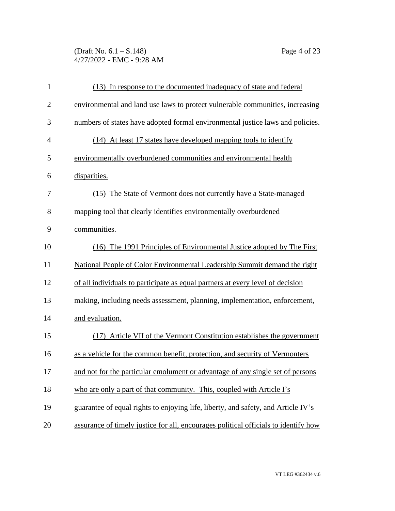(Draft No. 6.1 – S.148) Page 4 of 23 4/27/2022 - EMC - 9:28 AM

| $\mathbf{1}$   | (13) In response to the documented inadequacy of state and federal                  |
|----------------|-------------------------------------------------------------------------------------|
| $\mathbf{2}$   | environmental and land use laws to protect vulnerable communities, increasing       |
| 3              | numbers of states have adopted formal environmental justice laws and policies.      |
| $\overline{4}$ | (14) At least 17 states have developed mapping tools to identify                    |
| 5              | environmentally overburdened communities and environmental health                   |
| 6              | disparities.                                                                        |
| 7              | (15) The State of Vermont does not currently have a State-managed                   |
| 8              | mapping tool that clearly identifies environmentally overburdened                   |
| 9              | communities.                                                                        |
| 10             | (16) The 1991 Principles of Environmental Justice adopted by The First              |
| 11             | National People of Color Environmental Leadership Summit demand the right           |
| 12             | of all individuals to participate as equal partners at every level of decision      |
| 13             | making, including needs assessment, planning, implementation, enforcement,          |
| 14             | and evaluation.                                                                     |
| 15             | (17) Article VII of the Vermont Constitution establishes the government             |
| 16             | as a vehicle for the common benefit, protection, and security of Vermonters         |
| 17             | and not for the particular emolument or advantage of any single set of persons      |
| 18             | who are only a part of that community. This, coupled with Article I's               |
| 19             | guarantee of equal rights to enjoying life, liberty, and safety, and Article IV's   |
| 20             | assurance of timely justice for all, encourages political officials to identify how |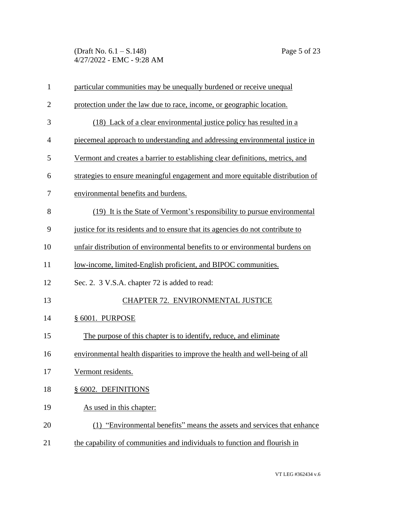(Draft No. 6.1 – S.148) Page 5 of 23 4/27/2022 - EMC - 9:28 AM

| $\mathbf{1}$   | particular communities may be unequally burdened or receive unequal            |
|----------------|--------------------------------------------------------------------------------|
| $\overline{2}$ | protection under the law due to race, income, or geographic location.          |
| 3              | (18) Lack of a clear environmental justice policy has resulted in a            |
| $\overline{4}$ | piecemeal approach to understanding and addressing environmental justice in    |
| 5              | Vermont and creates a barrier to establishing clear definitions, metrics, and  |
| 6              | strategies to ensure meaningful engagement and more equitable distribution of  |
| 7              | environmental benefits and burdens.                                            |
| 8              | (19) It is the State of Vermont's responsibility to pursue environmental       |
| 9              | justice for its residents and to ensure that its agencies do not contribute to |
| 10             | unfair distribution of environmental benefits to or environmental burdens on   |
| 11             | low-income, limited-English proficient, and BIPOC communities.                 |
| 12             | Sec. 2. 3 V.S.A. chapter 72 is added to read:                                  |
| 13             | CHAPTER 72. ENVIRONMENTAL JUSTICE                                              |
| 14             | § 6001. PURPOSE                                                                |
| 15             | The purpose of this chapter is to identify, reduce, and eliminate              |
| 16             | environmental health disparities to improve the health and well-being of all   |
| 17             | Vermont residents.                                                             |
| 18             | § 6002. DEFINITIONS                                                            |
| 19             | As used in this chapter:                                                       |
| 20             | (1) "Environmental benefits" means the assets and services that enhance        |
| 21             | the capability of communities and individuals to function and flourish in      |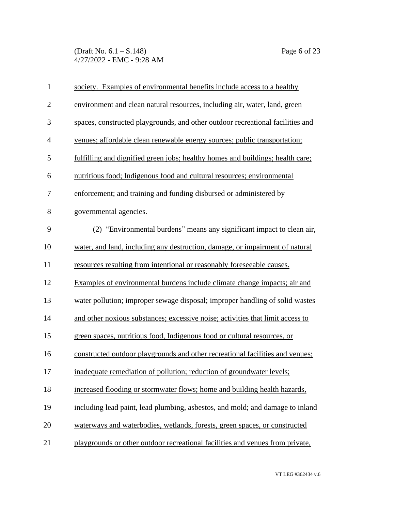(Draft No. 6.1 – S.148) Page 6 of 23 4/27/2022 - EMC - 9:28 AM

| $\mathbf{1}$   | society. Examples of environmental benefits include access to a healthy        |
|----------------|--------------------------------------------------------------------------------|
| $\overline{2}$ | environment and clean natural resources, including air, water, land, green     |
| 3              | spaces, constructed playgrounds, and other outdoor recreational facilities and |
| $\overline{4}$ | venues; affordable clean renewable energy sources; public transportation;      |
| 5              | fulfilling and dignified green jobs; healthy homes and buildings; health care; |
| 6              | nutritious food; Indigenous food and cultural resources; environmental         |
| 7              | enforcement; and training and funding disbursed or administered by             |
| 8              | governmental agencies.                                                         |
| 9              | (2) "Environmental burdens" means any significant impact to clean air,         |
| 10             | water, and land, including any destruction, damage, or impairment of natural   |
| 11             | resources resulting from intentional or reasonably foreseeable causes.         |
| 12             | Examples of environmental burdens include climate change impacts; air and      |
| 13             | water pollution; improper sewage disposal; improper handling of solid wastes   |
| 14             | and other noxious substances; excessive noise; activities that limit access to |
| 15             | green spaces, nutritious food, Indigenous food or cultural resources, or       |
| 16             | constructed outdoor playgrounds and other recreational facilities and venues;  |
| 17             | inadequate remediation of pollution; reduction of groundwater levels;          |
| 18             | increased flooding or stormwater flows; home and building health hazards,      |
| 19             | including lead paint, lead plumbing, asbestos, and mold; and damage to inland  |
| 20             | waterways and waterbodies, wetlands, forests, green spaces, or constructed     |
| 21             | playgrounds or other outdoor recreational facilities and venues from private,  |
|                |                                                                                |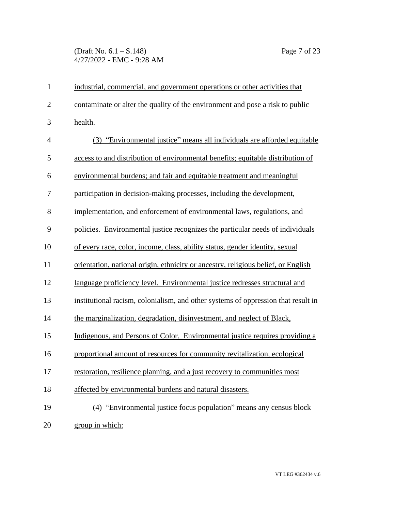## (Draft No. 6.1 – S.148) Page 7 of 23 4/27/2022 - EMC - 9:28 AM

| $\mathbf{1}$   | industrial, commercial, and government operations or other activities that        |
|----------------|-----------------------------------------------------------------------------------|
| $\overline{2}$ | contaminate or alter the quality of the environment and pose a risk to public     |
| 3              | health.                                                                           |
| $\overline{4}$ | (3) "Environmental justice" means all individuals are afforded equitable          |
| 5              | access to and distribution of environmental benefits; equitable distribution of   |
| 6              | environmental burdens; and fair and equitable treatment and meaningful            |
| 7              | participation in decision-making processes, including the development,            |
| 8              | implementation, and enforcement of environmental laws, regulations, and           |
| 9              | policies. Environmental justice recognizes the particular needs of individuals    |
| 10             | of every race, color, income, class, ability status, gender identity, sexual      |
| 11             | orientation, national origin, ethnicity or ancestry, religious belief, or English |
| 12             | language proficiency level. Environmental justice redresses structural and        |
| 13             | institutional racism, colonialism, and other systems of oppression that result in |
| 14             | the marginalization, degradation, disinvestment, and neglect of Black,            |
| 15             | Indigenous, and Persons of Color. Environmental justice requires providing a      |
| 16             | proportional amount of resources for community revitalization, ecological         |
| 17             | restoration, resilience planning, and a just recovery to communities most         |
| 18             | affected by environmental burdens and natural disasters.                          |
| 19             | (4) "Environmental justice focus population" means any census block               |
| 20             | group in which:                                                                   |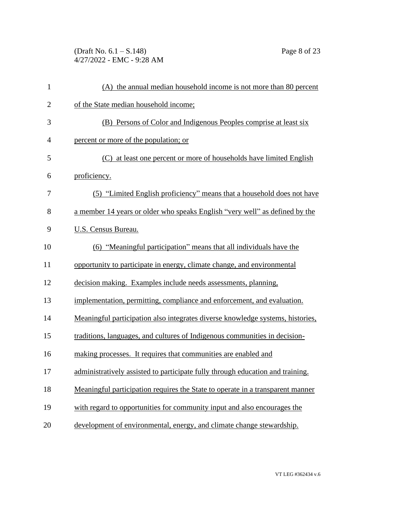(Draft No. 6.1 – S.148) Page 8 of 23 4/27/2022 - EMC - 9:28 AM

| $\mathbf{1}$   | (A) the annual median household income is not more than 80 percent             |
|----------------|--------------------------------------------------------------------------------|
| $\overline{c}$ | of the State median household income;                                          |
| 3              | (B) Persons of Color and Indigenous Peoples comprise at least six              |
| 4              | percent or more of the population; or                                          |
| 5              | (C) at least one percent or more of households have limited English            |
| 6              | proficiency.                                                                   |
| 7              | (5) "Limited English proficiency" means that a household does not have         |
| 8              | a member 14 years or older who speaks English "very well" as defined by the    |
| 9              | <b>U.S. Census Bureau.</b>                                                     |
| 10             | (6) "Meaningful participation" means that all individuals have the             |
| 11             | opportunity to participate in energy, climate change, and environmental        |
| 12             | decision making. Examples include needs assessments, planning,                 |
| 13             | implementation, permitting, compliance and enforcement, and evaluation.        |
| 14             | Meaningful participation also integrates diverse knowledge systems, histories, |
| 15             | traditions, languages, and cultures of Indigenous communities in decision-     |
| 16             | making processes. It requires that communities are enabled and                 |
| 17             | administratively assisted to participate fully through education and training. |
| 18             | Meaningful participation requires the State to operate in a transparent manner |
| 19             | with regard to opportunities for community input and also encourages the       |
| 20             | development of environmental, energy, and climate change stewardship.          |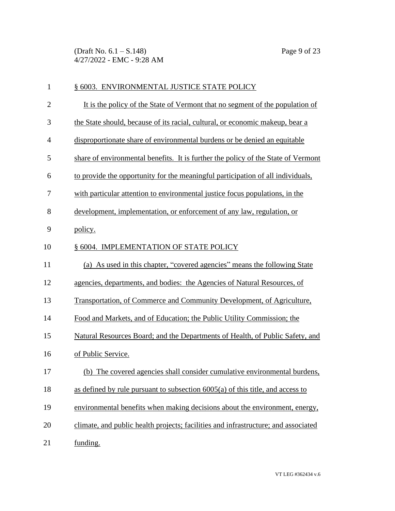(Draft No. 6.1 – S.148) Page 9 of 23 4/27/2022 - EMC - 9:28 AM

| $\mathbf{1}$   | § 6003. ENVIRONMENTAL JUSTICE STATE POLICY                                         |
|----------------|------------------------------------------------------------------------------------|
| $\overline{2}$ | It is the policy of the State of Vermont that no segment of the population of      |
| 3              | the State should, because of its racial, cultural, or economic makeup, bear a      |
| $\overline{4}$ | disproportionate share of environmental burdens or be denied an equitable          |
| 5              | share of environmental benefits. It is further the policy of the State of Vermont  |
| 6              | to provide the opportunity for the meaningful participation of all individuals,    |
| 7              | with particular attention to environmental justice focus populations, in the       |
| 8              | development, implementation, or enforcement of any law, regulation, or             |
| 9              | policy.                                                                            |
| 10             | § 6004. IMPLEMENTATION OF STATE POLICY                                             |
| 11             | (a) As used in this chapter, "covered agencies" means the following State          |
| 12             | agencies, departments, and bodies: the Agencies of Natural Resources, of           |
| 13             | Transportation, of Commerce and Community Development, of Agriculture,             |
| 14             | Food and Markets, and of Education; the Public Utility Commission; the             |
| 15             | Natural Resources Board; and the Departments of Health, of Public Safety, and      |
| 16             | of Public Service.                                                                 |
| 17             | (b) The covered agencies shall consider cumulative environmental burdens,          |
| 18             | as defined by rule pursuant to subsection 6005(a) of this title, and access to     |
| 19             | environmental benefits when making decisions about the environment, energy,        |
| 20             | climate, and public health projects; facilities and infrastructure; and associated |
| 21             | funding.                                                                           |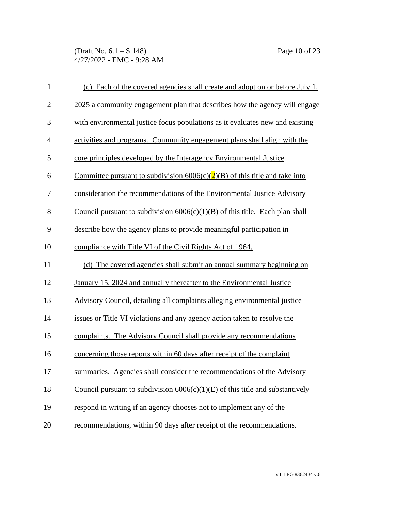(Draft No. 6.1 – S.148) Page 10 of 23 4/27/2022 - EMC - 9:28 AM

| $\mathbf{1}$   | (c) Each of the covered agencies shall create and adopt on or before July 1,    |
|----------------|---------------------------------------------------------------------------------|
| $\mathbf{2}$   | 2025 a community engagement plan that describes how the agency will engage      |
| $\mathfrak{Z}$ | with environmental justice focus populations as it evaluates new and existing   |
| $\overline{4}$ | activities and programs. Community engagement plans shall align with the        |
| 5              | core principles developed by the Interagency Environmental Justice              |
| 6              | Committee pursuant to subdivision $6006(c)(2)(B)$ of this title and take into   |
| 7              | consideration the recommendations of the Environmental Justice Advisory         |
| 8              | Council pursuant to subdivision $6006(c)(1)(B)$ of this title. Each plan shall  |
| 9              | describe how the agency plans to provide meaningful participation in            |
| 10             | compliance with Title VI of the Civil Rights Act of 1964.                       |
| 11             | (d) The covered agencies shall submit an annual summary beginning on            |
| 12             | January 15, 2024 and annually thereafter to the Environmental Justice           |
| 13             | Advisory Council, detailing all complaints alleging environmental justice       |
| 14             | issues or Title VI violations and any agency action taken to resolve the        |
| 15             | complaints. The Advisory Council shall provide any recommendations              |
| 16             | concerning those reports within 60 days after receipt of the complaint          |
| 17             | summaries. Agencies shall consider the recommendations of the Advisory          |
| 18             | Council pursuant to subdivision $6006(c)(1)(E)$ of this title and substantively |
| 19             | respond in writing if an agency chooses not to implement any of the             |
| 20             | recommendations, within 90 days after receipt of the recommendations.           |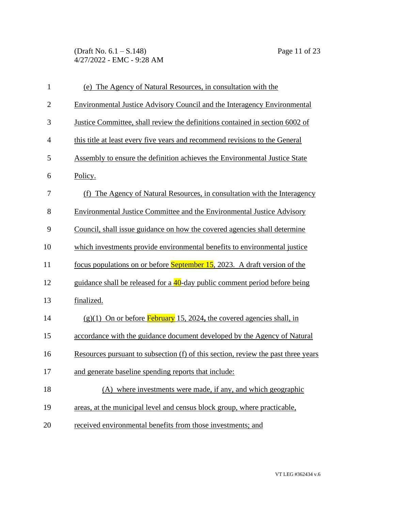(Draft No. 6.1 – S.148) Page 11 of 23 4/27/2022 - EMC - 9:28 AM

| $\mathbf{1}$   | (e) The Agency of Natural Resources, in consultation with the                     |
|----------------|-----------------------------------------------------------------------------------|
| $\overline{2}$ | Environmental Justice Advisory Council and the Interagency Environmental          |
| 3              | Justice Committee, shall review the definitions contained in section 6002 of      |
| $\overline{4}$ | this title at least every five years and recommend revisions to the General       |
| 5              | Assembly to ensure the definition achieves the Environmental Justice State        |
| 6              | Policy.                                                                           |
| 7              | (f) The Agency of Natural Resources, in consultation with the Interagency         |
| 8              | Environmental Justice Committee and the Environmental Justice Advisory            |
| 9              | Council, shall issue guidance on how the covered agencies shall determine         |
| 10             | which investments provide environmental benefits to environmental justice         |
| 11             | focus populations on or before <b>September 15</b> , 2023. A draft version of the |
| 12             | guidance shall be released for a 40-day public comment period before being        |
| 13             | finalized.                                                                        |
| 14             | $(g)(1)$ On or before <b>February</b> 15, 2024, the covered agencies shall, in    |
| 15             | accordance with the guidance document developed by the Agency of Natural          |
| 16             | Resources pursuant to subsection (f) of this section, review the past three years |
| 17             | and generate baseline spending reports that include:                              |
| 18             | (A) where investments were made, if any, and which geographic                     |
| 19             | areas, at the municipal level and census block group, where practicable,          |
| 20             | received environmental benefits from those investments; and                       |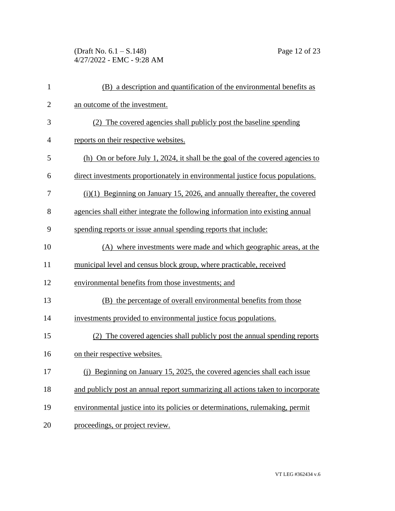(Draft No. 6.1 – S.148) Page 12 of 23 4/27/2022 - EMC - 9:28 AM

| $\mathbf{1}$   | (B) a description and quantification of the environmental benefits as           |
|----------------|---------------------------------------------------------------------------------|
| $\overline{2}$ | an outcome of the investment.                                                   |
| 3              | (2) The covered agencies shall publicly post the baseline spending              |
| 4              | reports on their respective websites.                                           |
| 5              | (h) On or before July 1, 2024, it shall be the goal of the covered agencies to  |
| 6              | direct investments proportionately in environmental justice focus populations.  |
| 7              | $(i)(1)$ Beginning on January 15, 2026, and annually thereafter, the covered    |
| 8              | agencies shall either integrate the following information into existing annual  |
| 9              | spending reports or issue annual spending reports that include:                 |
| 10             | (A) where investments were made and which geographic areas, at the              |
| 11             | municipal level and census block group, where practicable, received             |
| 12             | environmental benefits from those investments; and                              |
| 13             | (B) the percentage of overall environmental benefits from those                 |
| 14             | investments provided to environmental justice focus populations.                |
| 15             | (2) The covered agencies shall publicly post the annual spending reports        |
| 16             | on their respective websites.                                                   |
| 17             | (i) Beginning on January 15, 2025, the covered agencies shall each issue        |
| 18             | and publicly post an annual report summarizing all actions taken to incorporate |
| 19             | environmental justice into its policies or determinations, rulemaking, permit   |
| 20             | proceedings, or project review.                                                 |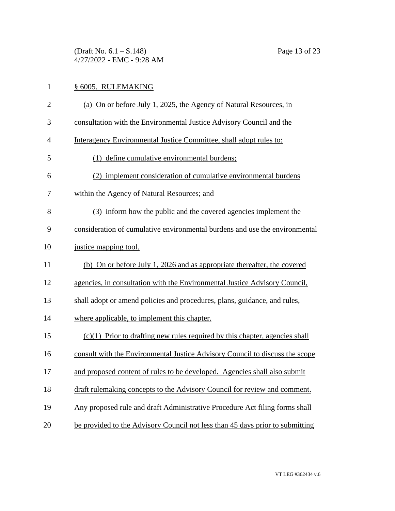(Draft No. 6.1 – S.148) Page 13 of 23 4/27/2022 - EMC - 9:28 AM

## § 6005. RULEMAKING (a) On or before July 1, 2025, the Agency of Natural Resources, in consultation with the Environmental Justice Advisory Council and the Interagency Environmental Justice Committee, shall adopt rules to: (1) define cumulative environmental burdens; (2) implement consideration of cumulative environmental burdens within the Agency of Natural Resources; and (3) inform how the public and the covered agencies implement the consideration of cumulative environmental burdens and use the environmental 10 justice mapping tool. (b) On or before July 1, 2026 and as appropriate thereafter, the covered agencies, in consultation with the Environmental Justice Advisory Council, shall adopt or amend policies and procedures, plans, guidance, and rules, where applicable, to implement this chapter. (c)(1) Prior to drafting new rules required by this chapter, agencies shall consult with the Environmental Justice Advisory Council to discuss the scope and proposed content of rules to be developed. Agencies shall also submit draft rulemaking concepts to the Advisory Council for review and comment. Any proposed rule and draft Administrative Procedure Act filing forms shall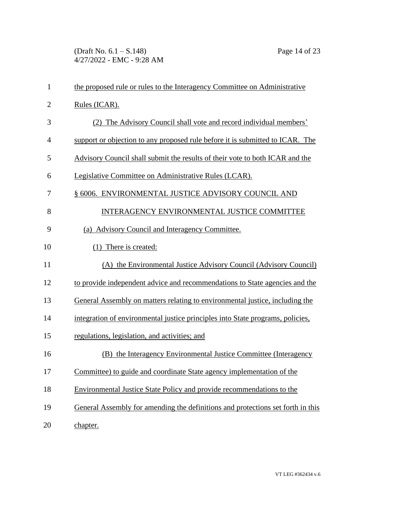(Draft No. 6.1 – S.148) Page 14 of 23 4/27/2022 - EMC - 9:28 AM

| 1              | the proposed rule or rules to the Interagency Committee on Administrative       |
|----------------|---------------------------------------------------------------------------------|
| $\overline{2}$ | Rules (ICAR).                                                                   |
| 3              | (2) The Advisory Council shall vote and record individual members'              |
| $\overline{4}$ | support or objection to any proposed rule before it is submitted to ICAR. The   |
| 5              | Advisory Council shall submit the results of their vote to both ICAR and the    |
| 6              | Legislative Committee on Administrative Rules (LCAR).                           |
| 7              | § 6006. ENVIRONMENTAL JUSTICE ADVISORY COUNCIL AND                              |
| 8              | INTERAGENCY ENVIRONMENTAL JUSTICE COMMITTEE                                     |
| 9              | (a) Advisory Council and Interagency Committee.                                 |
| 10             | (1) There is created:                                                           |
| 11             | (A) the Environmental Justice Advisory Council (Advisory Council)               |
| 12             | to provide independent advice and recommendations to State agencies and the     |
| 13             | General Assembly on matters relating to environmental justice, including the    |
| 14             | integration of environmental justice principles into State programs, policies,  |
| 15             | regulations, legislation, and activities; and                                   |
| 16             | (B) the Interagency Environmental Justice Committee (Interagency                |
| 17             | Committee) to guide and coordinate State agency implementation of the           |
| 18             | Environmental Justice State Policy and provide recommendations to the           |
| 19             | General Assembly for amending the definitions and protections set forth in this |
| 20             | chapter.                                                                        |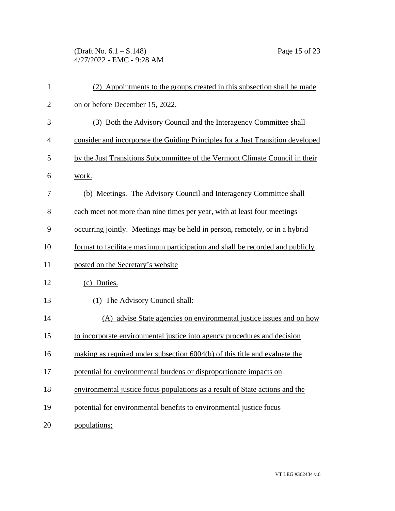(Draft No. 6.1 – S.148) Page 15 of 23 4/27/2022 - EMC - 9:28 AM

| $\mathbf{1}$   | (2) Appointments to the groups created in this subsection shall be made         |
|----------------|---------------------------------------------------------------------------------|
| $\overline{2}$ | on or before December 15, 2022.                                                 |
| 3              | (3) Both the Advisory Council and the Interagency Committee shall               |
| $\overline{4}$ | consider and incorporate the Guiding Principles for a Just Transition developed |
| 5              | by the Just Transitions Subcommittee of the Vermont Climate Council in their    |
| 6              | work.                                                                           |
| 7              | (b) Meetings. The Advisory Council and Interagency Committee shall              |
| 8              | each meet not more than nine times per year, with at least four meetings        |
| 9              | occurring jointly. Meetings may be held in person, remotely, or in a hybrid     |
| 10             | format to facilitate maximum participation and shall be recorded and publicly   |
| 11             | posted on the Secretary's website                                               |
| 12             | (c) Duties.                                                                     |
| 13             | (1) The Advisory Council shall:                                                 |
| 14             | (A) advise State agencies on environmental justice issues and on how            |
| 15             | to incorporate environmental justice into agency procedures and decision        |
| 16             | making as required under subsection 6004(b) of this title and evaluate the      |
| 17             | potential for environmental burdens or disproportionate impacts on              |
| 18             | environmental justice focus populations as a result of State actions and the    |
| 19             | potential for environmental benefits to environmental justice focus             |
| 20             | populations;                                                                    |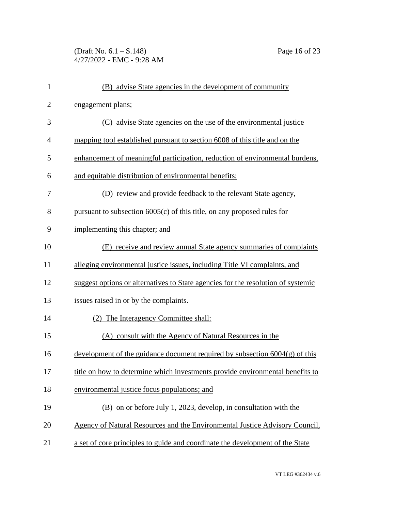(Draft No. 6.1 – S.148) Page 16 of 23 4/27/2022 - EMC - 9:28 AM

| $\mathbf{1}$   | (B) advise State agencies in the development of community                        |
|----------------|----------------------------------------------------------------------------------|
| $\mathbf{2}$   | engagement plans;                                                                |
| 3              | (C) advise State agencies on the use of the environmental justice                |
| $\overline{4}$ | mapping tool established pursuant to section 6008 of this title and on the       |
| 5              | enhancement of meaningful participation, reduction of environmental burdens,     |
| 6              | and equitable distribution of environmental benefits;                            |
| 7              | (D) review and provide feedback to the relevant State agency,                    |
| 8              | pursuant to subsection $6005(c)$ of this title, on any proposed rules for        |
| 9              | implementing this chapter; and                                                   |
| 10             | (E) receive and review annual State agency summaries of complaints               |
| 11             | alleging environmental justice issues, including Title VI complaints, and        |
| 12             | suggest options or alternatives to State agencies for the resolution of systemic |
| 13             | issues raised in or by the complaints.                                           |
| 14             | (2) The Interagency Committee shall:                                             |
| 15             | (A) consult with the Agency of Natural Resources in the                          |
| 16             | development of the guidance document required by subsection $6004(g)$ of this    |
| 17             | title on how to determine which investments provide environmental benefits to    |
| 18             | environmental justice focus populations; and                                     |
| 19             | (B) on or before July 1, 2023, develop, in consultation with the                 |
| 20             | Agency of Natural Resources and the Environmental Justice Advisory Council,      |
| 21             | a set of core principles to guide and coordinate the development of the State    |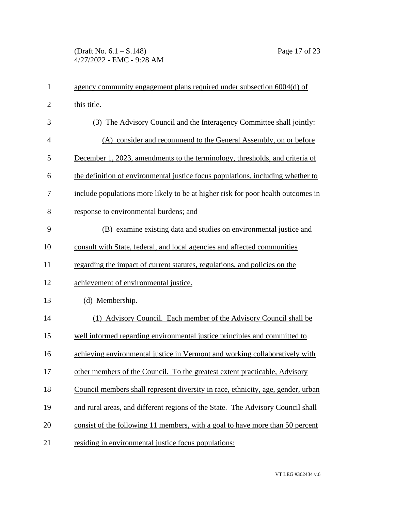(Draft No. 6.1 – S.148) Page 17 of 23 4/27/2022 - EMC - 9:28 AM

| $\mathbf{1}$   | agency community engagement plans required under subsection 6004(d) of           |
|----------------|----------------------------------------------------------------------------------|
| $\mathbf{2}$   | this title.                                                                      |
| 3              | (3) The Advisory Council and the Interagency Committee shall jointly:            |
| $\overline{4}$ | (A) consider and recommend to the General Assembly, on or before                 |
| 5              | December 1, 2023, amendments to the terminology, thresholds, and criteria of     |
| 6              | the definition of environmental justice focus populations, including whether to  |
| 7              | include populations more likely to be at higher risk for poor health outcomes in |
| 8              | response to environmental burdens; and                                           |
| 9              | (B) examine existing data and studies on environmental justice and               |
| 10             | consult with State, federal, and local agencies and affected communities         |
| 11             | regarding the impact of current statutes, regulations, and policies on the       |
| 12             | achievement of environmental justice.                                            |
| 13             | (d) Membership.                                                                  |
| 14             | (1) Advisory Council. Each member of the Advisory Council shall be               |
| 15             | well informed regarding environmental justice principles and committed to        |
| 16             | achieving environmental justice in Vermont and working collaboratively with      |
| 17             | other members of the Council. To the greatest extent practicable, Advisory       |
| 18             | Council members shall represent diversity in race, ethnicity, age, gender, urban |
| 19             | and rural areas, and different regions of the State. The Advisory Council shall  |
| 20             | consist of the following 11 members, with a goal to have more than 50 percent    |
| 21             | residing in environmental justice focus populations:                             |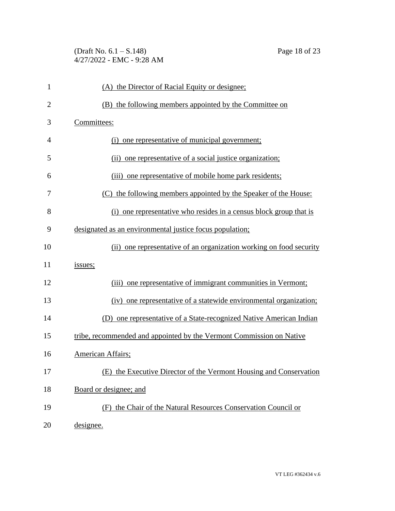## (Draft No. 6.1 – S.148) Page 18 of 23 4/27/2022 - EMC - 9:28 AM

| $\mathbf{1}$   | (A) the Director of Racial Equity or designee;                       |
|----------------|----------------------------------------------------------------------|
| $\overline{2}$ | (B) the following members appointed by the Committee on              |
| 3              | Committees:                                                          |
| 4              | (i) one representative of municipal government;                      |
| 5              | (ii) one representative of a social justice organization;            |
| 6              | (iii) one representative of mobile home park residents;              |
| 7              | (C) the following members appointed by the Speaker of the House:     |
| 8              | (i) one representative who resides in a census block group that is   |
| 9              | designated as an environmental justice focus population;             |
| 10             | (ii) one representative of an organization working on food security  |
| 11             | issues;                                                              |
| 12             | (iii) one representative of immigrant communities in Vermont;        |
| 13             | (iv) one representative of a statewide environmental organization;   |
| 14             | (D) one representative of a State-recognized Native American Indian  |
| 15             | tribe, recommended and appointed by the Vermont Commission on Native |
| 16             | American Affairs;                                                    |
| 17             | (E) the Executive Director of the Vermont Housing and Conservation   |
| 18             | Board or designee; and                                               |
| 19             | (F) the Chair of the Natural Resources Conservation Council or       |
| 20             | designee.                                                            |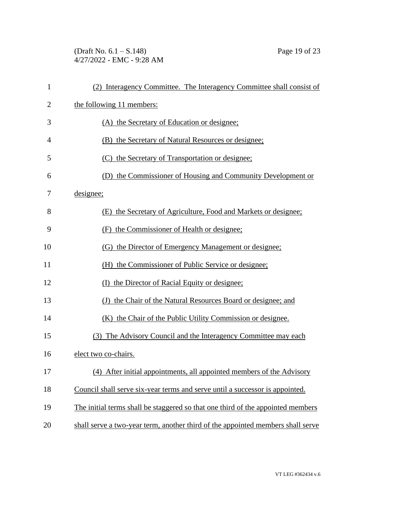## (Draft No. 6.1 – S.148) Page 19 of 23 4/27/2022 - EMC - 9:28 AM

| 1              | (2) Interagency Committee. The Interagency Committee shall consist of           |
|----------------|---------------------------------------------------------------------------------|
| $\overline{c}$ | the following 11 members:                                                       |
| 3              | (A) the Secretary of Education or designee;                                     |
| $\overline{4}$ | (B) the Secretary of Natural Resources or designee;                             |
| 5              | (C) the Secretary of Transportation or designee;                                |
| 6              | (D) the Commissioner of Housing and Community Development or                    |
| 7              | designee;                                                                       |
| 8              | (E) the Secretary of Agriculture, Food and Markets or designee;                 |
| 9              | (F) the Commissioner of Health or designee;                                     |
| 10             | (G) the Director of Emergency Management or designee;                           |
| 11             | (H) the Commissioner of Public Service or designee;                             |
| 12             | (I) the Director of Racial Equity or designee;                                  |
| 13             | the Chair of the Natural Resources Board or designee; and<br>(J)                |
| 14             | (K) the Chair of the Public Utility Commission or designee.                     |
| 15             | (3) The Advisory Council and the Interagency Committee may each                 |
| 16             | elect two co-chairs.                                                            |
| 17             | (4) After initial appointments, all appointed members of the Advisory           |
| 18             | Council shall serve six-year terms and serve until a successor is appointed.    |
| 19             | The initial terms shall be staggered so that one third of the appointed members |
| 20             | shall serve a two-year term, another third of the appointed members shall serve |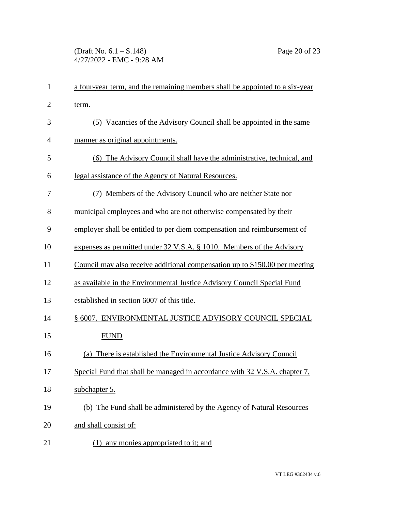| $\mathbf{1}$   | a four-year term, and the remaining members shall be appointed to a six-year |
|----------------|------------------------------------------------------------------------------|
| $\overline{c}$ | term.                                                                        |
| 3              | (5) Vacancies of the Advisory Council shall be appointed in the same         |
| 4              | manner as original appointments.                                             |
| 5              | (6) The Advisory Council shall have the administrative, technical, and       |
| 6              | legal assistance of the Agency of Natural Resources.                         |
| 7              | (7) Members of the Advisory Council who are neither State nor                |
| 8              | municipal employees and who are not otherwise compensated by their           |
| 9              | employer shall be entitled to per diem compensation and reimbursement of     |
| 10             | expenses as permitted under 32 V.S.A. § 1010. Members of the Advisory        |
| 11             | Council may also receive additional compensation up to \$150.00 per meeting  |
| 12             | as available in the Environmental Justice Advisory Council Special Fund      |
| 13             | established in section 6007 of this title.                                   |
| 14             | § 6007. ENVIRONMENTAL JUSTICE ADVISORY COUNCIL SPECIAL                       |
| 15             | <b>FUND</b>                                                                  |
| 16             | There is established the Environmental Justice Advisory Council<br>(a)       |
| 17             | Special Fund that shall be managed in accordance with 32 V.S.A. chapter 7,   |
| 18             | subchapter 5.                                                                |
| 19             | (b) The Fund shall be administered by the Agency of Natural Resources        |
| 20             | and shall consist of:                                                        |
| 21             | any monies appropriated to it; and<br>(1)                                    |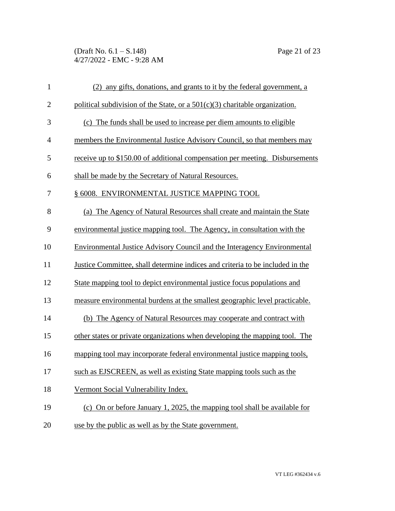(Draft No. 6.1 – S.148) Page 21 of 23 4/27/2022 - EMC - 9:28 AM

| $\mathbf{1}$   | (2) any gifts, donations, and grants to it by the federal government, a       |
|----------------|-------------------------------------------------------------------------------|
| $\overline{2}$ | political subdivision of the State, or a $501(c)(3)$ charitable organization. |
| 3              | (c) The funds shall be used to increase per diem amounts to eligible          |
| $\overline{4}$ | members the Environmental Justice Advisory Council, so that members may       |
| 5              | receive up to \$150.00 of additional compensation per meeting. Disbursements  |
| 6              | shall be made by the Secretary of Natural Resources.                          |
| 7              | § 6008. ENVIRONMENTAL JUSTICE MAPPING TOOL                                    |
| 8              | (a) The Agency of Natural Resources shall create and maintain the State       |
| 9              | environmental justice mapping tool. The Agency, in consultation with the      |
| 10             | Environmental Justice Advisory Council and the Interagency Environmental      |
| 11             | Justice Committee, shall determine indices and criteria to be included in the |
| 12             | State mapping tool to depict environmental justice focus populations and      |
| 13             | measure environmental burdens at the smallest geographic level practicable.   |
| 14             | (b) The Agency of Natural Resources may cooperate and contract with           |
| 15             | other states or private organizations when developing the mapping tool. The   |
| 16             | mapping tool may incorporate federal environmental justice mapping tools,     |
| 17             | such as EJSCREEN, as well as existing State mapping tools such as the         |
| 18             | Vermont Social Vulnerability Index.                                           |
| 19             | (c) On or before January 1, 2025, the mapping tool shall be available for     |
| 20             | use by the public as well as by the State government.                         |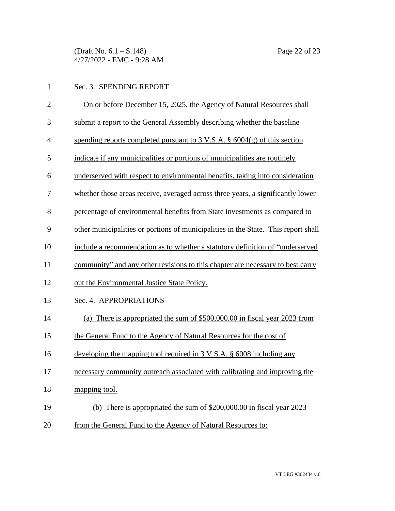(Draft No. 6.1 – S.148) Page 22 of 23 4/27/2022 - EMC - 9:28 AM

| $\mathbf{1}$   | Sec. 3. SPENDING REPORT                                                                |
|----------------|----------------------------------------------------------------------------------------|
| $\overline{2}$ | On or before December 15, 2025, the Agency of Natural Resources shall                  |
| 3              | submit a report to the General Assembly describing whether the baseline                |
| 4              | spending reports completed pursuant to $3 \text{ V.S.A.}$ \$ $6004(g)$ of this section |
| 5              | indicate if any municipalities or portions of municipalities are routinely             |
| 6              | underserved with respect to environmental benefits, taking into consideration          |
| 7              | whether those areas receive, averaged across three years, a significantly lower        |
| 8              | percentage of environmental benefits from State investments as compared to             |
| 9              | other municipalities or portions of municipalities in the State. This report shall     |
| 10             | include a recommendation as to whether a statutory definition of "underserved"         |
| 11             | community" and any other revisions to this chapter are necessary to best carry         |
| 12             | out the Environmental Justice State Policy.                                            |
| 13             | Sec. 4. APPROPRIATIONS                                                                 |
| 14             | (a) There is appropriated the sum of \$500,000.00 in fiscal year 2023 from             |
| 15             | the General Fund to the Agency of Natural Resources for the cost of                    |
| 16             | developing the mapping tool required in 3 V.S.A. § 6008 including any                  |
| 17             | necessary community outreach associated with calibrating and improving the             |
| 18             | mapping tool.                                                                          |
| 19             | (b) There is appropriated the sum of $$200,000.00$ in fiscal year $2023$               |
|                |                                                                                        |

20 from the General Fund to the Agency of Natural Resources to: